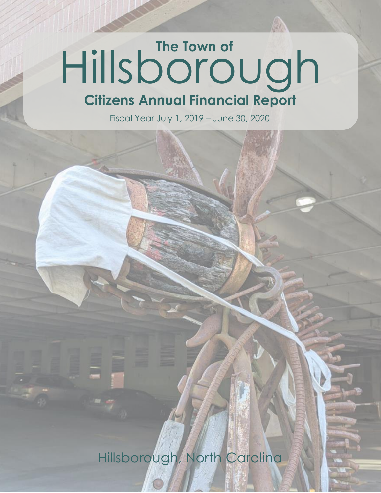## Hillsborough **Citizens Annual Financial Report**

Fiscal Year July 1, 2019 – June 30, 2020

Hillsborough, North Carolina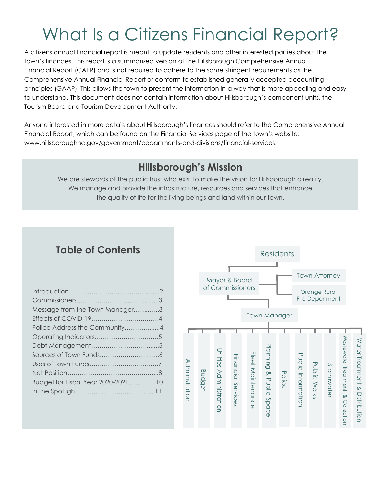## What Is a Citizens Financial Report?

A citizens annual financial report is meant to update residents and other interested parties about the town's finances. This report is a summarized version of the Hillsborough Comprehensive Annual Financial Report (CAFR) and is not required to adhere to the same stringent requirements as the Comprehensive Annual Financial Report or conform to established generally accepted accounting principles (GAAP). This allows the town to present the information in a way that is more appealing and easy to understand. This document does not contain information about Hillsborough's component units, the Tourism Board and Tourism Development Authority.

Anyone interested in more details about Hillsborough's finances should refer to the Comprehensive Annual Financial Report, which can be found on the Financial Services page of the town's website: www.hillsboroughnc.gov/government/departments-and-divisions/financial-services.

#### **Hillsborough's Mission**

We are stewards of the public trust who exist to make the vision for Hillsborough a reality. We manage and provide the infrastructure, resources and services that enhance the quality of life for the living beings and land within our town.

#### **Table of Contents**

| Message from the Town Manager3     |  |
|------------------------------------|--|
|                                    |  |
| Police Address the Community4      |  |
|                                    |  |
|                                    |  |
|                                    |  |
|                                    |  |
|                                    |  |
| Budget for Fiscal Year 2020-202110 |  |
|                                    |  |

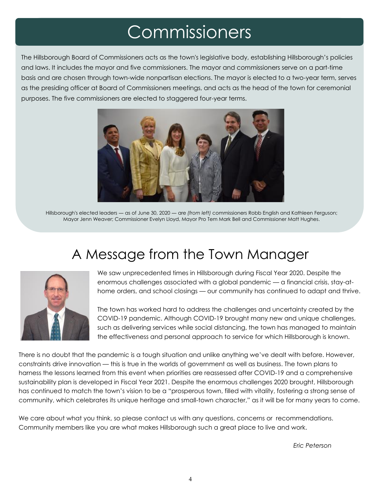## Commissioners

The Hillsborough Board of Commissioners acts as the town's legislative body, establishing Hillsborough's policies and laws. It includes the mayor and five commissioners. The mayor and commissioners serve on a part-time basis and are chosen through town-wide nonpartisan elections. The mayor is elected to a two-year term, serves as the presiding officer at Board of Commissioners meetings, and acts as the head of the town for ceremonial purposes. The five commissioners are elected to staggered four-year terms.



Hillsborough's elected leaders ― as of June 30, 2020 ― are *(from left)* commissioners Robb English and Kathleen Ferguson; Mayor Jenn Weaver; Commissioner Evelyn Lloyd, Mayor Pro Tem Mark Bell and Commissioner Matt Hughes.

## A Message from the Town Manager



We saw unprecedented times in Hillsborough during Fiscal Year 2020. Despite the enormous challenges associated with a global pandemic — a financial crisis, stay-athome orders, and school closings — our community has continued to adapt and thrive.

The town has worked hard to address the challenges and uncertainty created by the COVID-19 pandemic. Although COVID-19 brought many new and unique challenges, such as delivering services while social distancing, the town has managed to maintain the effectiveness and personal approach to service for which Hillsborough is known.

There is no doubt that the pandemic is a tough situation and unlike anything we've dealt with before. However, constraints drive innovation — this is true in the worlds of government as well as business. The town plans to harness the lessons learned from this event when priorities are reassessed after COVID-19 and a comprehensive sustainability plan is developed in Fiscal Year 2021. Despite the enormous challenges 2020 brought, Hillsborough has continued to match the town's vision to be a "prosperous town, filled with vitality, fostering a strong sense of community, which celebrates its unique heritage and small-town character," as it will be for many years to come.

We care about what you think, so please contact us with any questions, concerns or recommendations. Community members like you are what makes Hillsborough such a great place to live and work.

*Eric Peterson*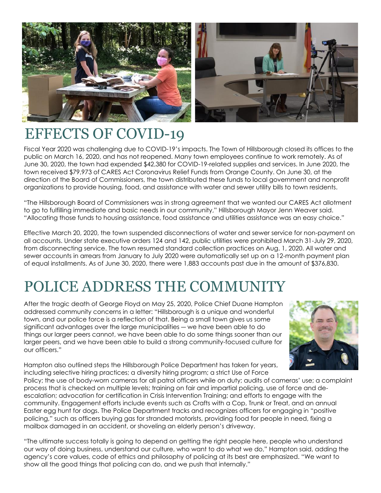

## EFFECTS OF COVID-19

Fiscal Year 2020 was challenging due to COVID-19's impacts. The Town of Hillsborough closed its offices to the public on March 16, 2020, and has not reopened. Many town employees continue to work remotely. As of June 30, 2020, the town had expended \$42,380 for COVID-19-related supplies and services. In June 2020, the town received \$79,973 of CARES Act Coronavirus Relief Funds from Orange County. On June 30, at the direction of the Board of Commissioners, the town distributed these funds to local government and nonprofit organizations to provide housing, food, and assistance with water and sewer utility bills to town residents.

"The Hillsborough Board of Commissioners was in strong agreement that we wanted our CARES Act allotment to go to fulfilling immediate and basic needs in our community," Hillsborough Mayor Jenn Weaver said. "Allocating those funds to housing assistance, food assistance and utilities assistance was an easy choice."

Effective March 20, 2020, the town suspended disconnections of water and sewer service for non-payment on all accounts. Under state executive orders 124 and 142, public utilities were prohibited March 31-July 29, 2020, from disconnecting service. The town resumed standard collection practices on Aug. 1, 2020. All water and sewer accounts in arrears from January to July 2020 were automatically set up on a 12-month payment plan of equal installments. As of June 30, 2020, there were 1,883 accounts past due in the amount of \$376,830.

## POLICE ADDRESS THE COMMUNITY

After the tragic death of George Floyd on May 25, 2020, Police Chief Duane Hampton addressed community concerns in a letter: "Hillsborough is a unique and wonderful town, and our police force is a reflection of that. Being a small town gives us some significant advantages over the large municipalities ― we have been able to do things our larger peers cannot, we have been able to do some things sooner than our larger peers, and we have been able to build a strong community-focused culture for our officers."



Hampton also outlined steps the Hillsborough Police Department has taken for years, including selective hiring practices; a diversity hiring program; a strict Use of Force

Policy; the use of body-worn cameras for all patrol officers while on duty; audits of cameras' use; a complaint process that is checked on multiple levels; training on fair and impartial policing, use of force and deescalation; advocation for certification in Crisis Intervention Training; and efforts to engage with the community. Engagement efforts include events such as Crafts with a Cop, Trunk or Treat, and an annual Easter egg hunt for dogs. The Police Department tracks and recognizes officers for engaging in "positive policing," such as officers buying gas for stranded motorists, providing food for people in need, fixing a mailbox damaged in an accident, or shoveling an elderly person's driveway.

"The ultimate success totally is going to depend on getting the right people here, people who understand our way of doing business, understand our culture, who want to do what we do," Hampton said, adding the agency's core values, code of ethics and philosophy of policing at its best are emphasized. "We want to show all the good things that policing can do, and we push that internally."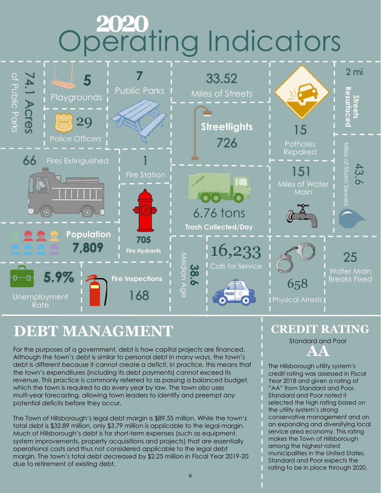# Operating Indicators



#### **DEBT MANAGMENT**

For the purposes of a government, debt is how capital projects are financed. Although the town's debt is similar to personal debt in many ways, the town's debt is different because it cannot create a deficit. In practice, this means that the town's expenditures (including its debt payments) cannot exceed its revenue. This practice is commonly referred to as passing a balanced budget, which the town is required to do every year by law. The town also uses multi-year forecasting, allowing town leaders to identify and preempt any potential deficits before they occur.

The Town of Hillsborough's legal debt margin is \$89.55 million. While the town's total debt is \$32.89 million, only \$3.79 million is applicable to the legal margin. Much of Hillsborough's debt is for short-term expenses (such as equipment, system improvements, property acquisitions and projects) that are essentially operational costs and thus not considered applicable to the legal debt margin. The town's total debt decreased by \$2.25 million in Fiscal Year 2019-20 due to retirement of existing debt.

#### **CREDIT RATING**

Standard and Poor

**AA**

The Hillsborough utility system's credit rating was assessed in Fiscal Year 2018 and given a rating of "AA" from Standard and Poor. Standard and Poor noted it selected the high rating based on the utility system's strong conservative management and on an expanding and diversifying local service area economy. This rating makes the Town of Hillsborough among the highest rated municipalities in the United States. Standard and Poor expects the rating to be in place through 2020.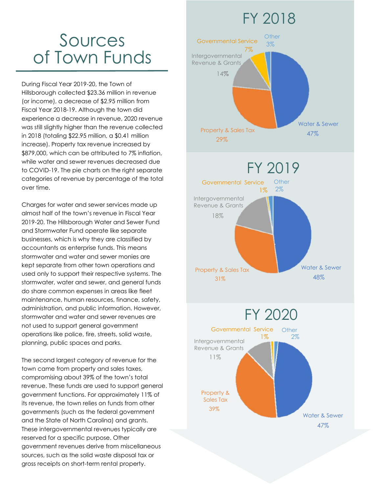### FY 2018

## Sources of Town Funds

During Fiscal Year 2019-20, the Town of Hillsborough collected \$23.36 million in revenue (or income), a decrease of \$2.95 million from Fiscal Year 2018-19. Although the town did experience a decrease in revenue, 2020 revenue was still slightly higher than the revenue collected in 2018 (totaling \$22.95 million, a \$0.41 million increase). Property tax revenue increased by \$879,000, which can be attributed to 7% inflation, while water and sewer revenues decreased due to COVID-19. The pie charts on the right separate categories of revenue by percentage of the total over time.

Charges for water and sewer services made up almost half of the town's revenue in Fiscal Year 2019-20. The Hillsborough Water and Sewer Fund and Stormwater Fund operate like separate businesses, which is why they are classified by accountants as enterprise funds. This means stormwater and water and sewer monies are kept separate from other town operations and used only to support their respective systems. The stormwater, water and sewer, and general funds do share common expenses in areas like fleet maintenance, human resources, finance, safety, administration, and public information. However, stormwater and water and sewer revenues are not used to support general government operations like police, fire, streets, solid waste, planning, public spaces and parks.

The second largest category of revenue for the town came from property and sales taxes, compromising about 39% of the town's total revenue. These funds are used to support general government functions. For approximately 11% of its revenue, the town relies on funds from other governments (such as the federal government and the State of North Carolina) and grants. These intergovernmental revenues typically are reserved for a specific purpose. Other government revenues derive from miscellaneous sources, such as the solid waste disposal tax or gross receipts on short-term rental property.

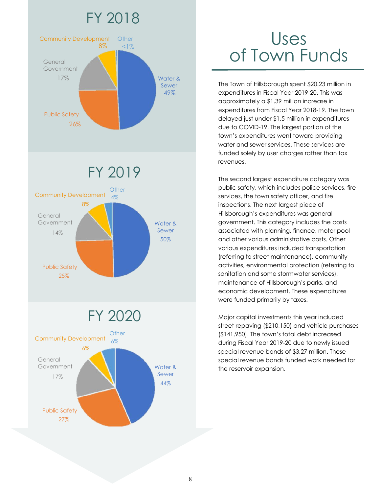

## Uses of Town Funds

The Town of Hillsborough spent \$20.23 million in expenditures in Fiscal Year 2019-20. This was approximately a \$1.39 million increase in expenditures from Fiscal Year 2018-19. The town delayed just under \$1.5 million in expenditures due to COVID-19. The largest portion of the town's expenditures went toward providing water and sewer services. These services are funded solely by user charges rather than tax revenues.

The second largest expenditure category was public safety, which includes police services, fire services, the town safety officer, and fire inspections. The next largest piece of Hillsborough's expenditures was general government. This category includes the costs associated with planning, finance, motor pool and other various administrative costs. Other various expenditures included transportation (referring to street maintenance), community activities, environmental protection (referring to sanitation and some stormwater services), maintenance of Hillsborough's parks, and economic development. These expenditures were funded primarily by taxes.

Major capital investments this year included street repaving (\$210,150) and vehicle purchases (\$141,950). The town's total debt increased during Fiscal Year 2019-20 due to newly issued special revenue bonds of \$3.27 million. These special revenue bonds funded work needed for the reservoir expansion.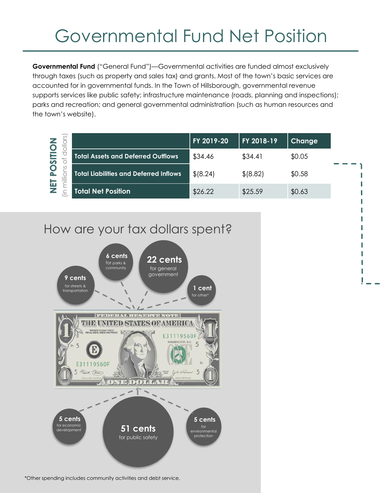## Governmental Fund Net Position

**Governmental Fund** ("General Fund")—Governmental activities are funded almost exclusively through taxes (such as property and sales tax) and grants. Most of the town's basic services are accounted for in governmental funds. In the Town of Hillsborough, governmental revenue supports services like public safety; infrastructure maintenance (roads, planning and inspections); parks and recreation; and general governmental administration (such as human resources and the town's website).

| $\widehat{\circ}$                                      | FY 2019-20 | FY 2018-19 | Change |
|--------------------------------------------------------|------------|------------|--------|
| <b>Total Assets and Deferred Outflows</b>              | \$34.46    | \$34.41    | \$0.05 |
| O<br>$\circ$<br>Total Liabilities and Deferred Inflows | \$18.24]   | \$ (8.82)  | \$0.58 |
| 面<br><b>Total Net Position</b>                         | \$26.22    | \$25.59    | \$0.63 |



\*Other spending includes community activities and debt service.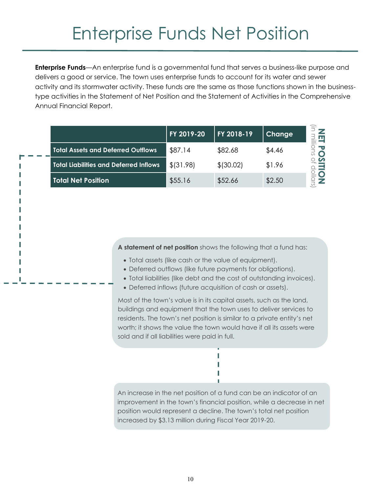## Enterprise Funds Net Position

**Enterprise Funds**—An enterprise fund is a governmental fund that serves a business-like purpose and delivers a good or service. The town uses enterprise funds to account for its water and sewer activity and its stormwater activity. These funds are the same as those functions shown in the businesstype activities in the Statement of Net Position and the Statement of Activities in the Comprehensive Annual Financial Report.

|                                               | FY 2019-20 | FY 2018-19 | <b>Change</b> |
|-----------------------------------------------|------------|------------|---------------|
| <b>Total Assets and Deferred Outflows</b>     | \$87.14    | \$82.68    | \$4.46        |
| <b>Total Liabilities and Deferred Inflows</b> | \$ (31.98) | \$ (30.02) | \$1.96        |
| <b>Total Net Position</b>                     | \$55.16    | \$52.66    | \$2.50        |

**A statement of net position** shows the following that a fund has:

- Total assets (like cash or the value of equipment).
- Deferred outflows (like future payments for obligations).
- Total liabilities (like debt and the cost of outstanding invoices).
- Deferred inflows (future acquisition of cash or assets).

Most of the town's value is in its capital assets, such as the land, buildings and equipment that the town uses to deliver services to residents. The town's net position is similar to a private entity's net worth; it shows the value the town would have if all its assets were sold and if all liabilities were paid in full.

An increase in the net position of a fund can be an indicator of an improvement in the town's financial position, while a decrease in net position would represent a decline. The town's total net position increased by \$3.13 million during Fiscal Year 2019-20.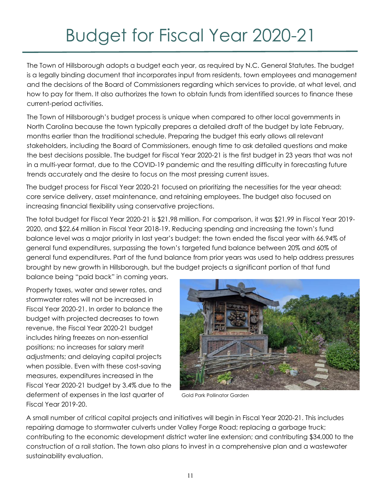## Budget for Fiscal Year 2020-21

The Town of Hillsborough adopts a budget each year, as required by N.C. General Statutes. The budget is a legally binding document that incorporates input from residents, town employees and management and the decisions of the Board of Commissioners regarding which services to provide, at what level, and how to pay for them. It also authorizes the town to obtain funds from identified sources to finance these current-period activities.

The Town of Hillsborough's budget process is unique when compared to other local governments in North Carolina because the town typically prepares a detailed draft of the budget by late February, months earlier than the traditional schedule. Preparing the budget this early allows all relevant stakeholders, including the Board of Commissioners, enough time to ask detailed questions and make the best decisions possible. The budget for Fiscal Year 2020-21 is the first budget in 23 years that was not in a multi-year format, due to the COVID-19 pandemic and the resulting difficulty in forecasting future trends accurately and the desire to focus on the most pressing current issues.

The budget process for Fiscal Year 2020-21 focused on prioritizing the necessities for the year ahead: core service delivery, asset maintenance, and retaining employees. The budget also focused on increasing financial flexibility using conservative projections.

The total budget for Fiscal Year 2020-21 is \$21.98 million. For comparison, it was \$21.99 in Fiscal Year 2019- 2020, and \$22.64 million in Fiscal Year 2018-19. Reducing spending and increasing the town's fund balance level was a major priority in last year's budget; the town ended the fiscal year with 66.94% of general fund expenditures, surpassing the town's targeted fund balance between 20% and 60% of general fund expenditures. Part of the fund balance from prior years was used to help address pressures brought by new growth in Hillsborough, but the budget projects a significant portion of that fund

balance being "paid back" in coming years.

Property taxes, water and sewer rates, and stormwater rates will not be increased in Fiscal Year 2020-21. In order to balance the budget with projected decreases to town revenue, the Fiscal Year 2020-21 budget includes hiring freezes on non-essential positions; no increases for salary merit adjustments; and delaying capital projects when possible. Even with these cost-saving measures, expenditures increased in the Fiscal Year 2020-21 budget by 3.4% due to the deferment of expenses in the last quarter of Fiscal Year 2019-20.



Gold Park Pollinator Garden

A small number of critical capital projects and initiatives will begin in Fiscal Year 2020-21. This includes repairing damage to stormwater culverts under Valley Forge Road; replacing a garbage truck; contributing to the economic development district water line extension; and contributing \$34,000 to the construction of a rail station. The town also plans to invest in a comprehensive plan and a wastewater sustainability evaluation.